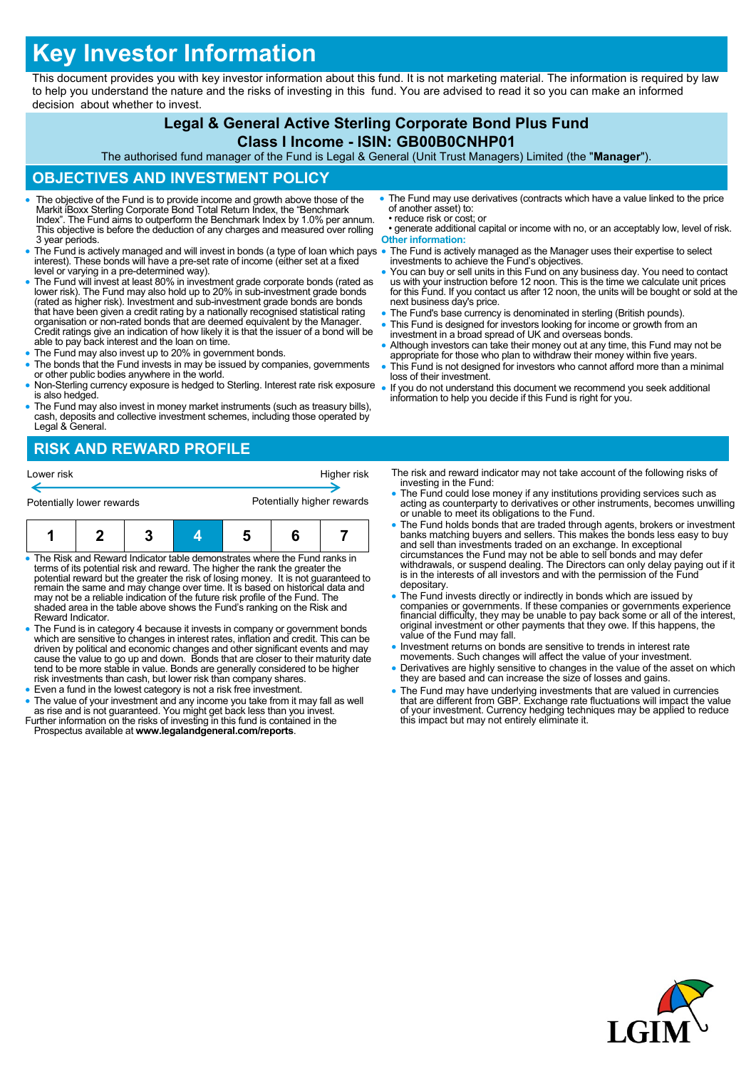# **Key Investor Information**

This document provides you with key investor information about this fund. It is not marketing material. The information is required by law to help you understand the nature and the risks of investing in this fund. You are advised to read it so you can make an informed decision about whether to invest.

## **Legal & General Active Sterling Corporate Bond Plus Fund**

#### **Class I Income - ISIN: GB00B0CNHP01**

The authorised fund manager of the Fund is Legal & General (Unit Trust Managers) Limited (the "**Manager**").

### **OBJECTIVES AND INVESTMENT POLICY**

- The objective of the Fund is to provide income and growth above those of the Markit iBoxx Sterling Corporate Bond Total Return Index, the "Benchmark Index". The Fund aims to outperform the Benchmark Index by 1.0% per annum. This objective is before the deduction of any charges and measured over rolling 3 year periods.
- The Fund is actively managed and will invest in bonds (a type of loan which pays interest). These bonds will have a pre-set rate of income (either set at a fixed level or varying in a pre-determined way).
- The Fund will invest at least 80% in investment grade corporate bonds (rated as lower risk). The Fund may also hold up to 20% in sub-investment grade bonds (rated as higher risk). Investment and sub-investment grade bonds are bonds that have been given a credit rating by a nationally recognised statistical rating organisation or non-rated bonds that are deemed equivalent by the Manager. Credit ratings give an indication of how likely it is that the issuer of a bond will be able to pay back interest and the loan on time.
- The Fund may also invest up to 20% in government bonds.
- The bonds that the Fund invests in may be issued by companies, governments or other public bodies anywhere in the world.
- Non-Sterling currency exposure is hedged to Sterling. Interest rate risk exposure is also hedged.
- The Fund may also invest in money market instruments (such as treasury bills), cash, deposits and collective investment schemes, including those operated by Legal & General.

## **RISK AND REWARD PROFILE**

| Lower risk<br>Potentially lower rewards                                    |  |  |  |   | Potentially higher rewards | Higher risk |
|----------------------------------------------------------------------------|--|--|--|---|----------------------------|-------------|
|                                                                            |  |  |  | 5 |                            |             |
| • The Risk and Reward Indicator table demonstrates where the Fund ranks in |  |  |  |   |                            |             |

- The Risk and Reward Indicator table demonstrates where the Fund ranks in<br>terms of its potential risk and reward. The higher the rank the greater the<br>potential reward but the greater the risk of losing money. It is not gu may not be a reliable indication of the future risk profile of the Fund. The shaded area in the table above shows the Fund's ranking on the Risk and Reward Indicator.
- The Fund is in category 4 because it invests in company or government bonds<br>which are sensitive to changes in interest rates, inflation and credit. This can be<br>driven by political and economic changes and other significa cause the value to go up and down. Bonds that are closer to their maturity date tend to be more stable in value. Bonds are generally considered to be higher risk investments than cash, but lower risk than company shares.
- Even a fund in the lowest category is not a risk free investment.
- The value of your investment and any income you take from it may fall as well as rise and is not guaranteed. You might get back less than you invest. Further information on the risks of investing in this fund is contained in the
- Prospectus available at **www.legalandgeneral.com/reports**.
- The Fund may use derivatives (contracts which have a value linked to the price of another asset) to: • reduce risk or cost; or
- generate additional capital or income with no, or an acceptably low, level of risk. **Other information:**
- The Fund is actively managed as the Manager uses their expertise to select investments to achieve the Fund's objectives.
- You can buy or sell units in this Fund on any business day. You need to contact us with your instruction before 12 noon. This is the time we calculate unit prices for this Fund. If you contact us after 12 noon, the units will be bought or sold at the next business day's price.
- The Fund's base currency is denominated in sterling (British pounds).
- This Fund is designed for investors looking for income or growth from an investment in a broad spread of UK and overseas bonds.
- Although investors can take their money out at any time, this Fund may not be appropriate for those who plan to withdraw their money within five years.
- This Fund is not designed for investors who cannot afford more than a minimal loss of their investment.
- If you do not understand this document we recommend you seek additional information to help you decide if this Fund is right for you.
	- The risk and reward indicator may not take account of the following risks of investing in the Fund:
	- The Fund could lose money if any institutions providing services such as acting as counterparty to derivatives or other instruments, becomes unwilling or unable to meet its obligations to the Fund.
	- The Fund holds bonds that are traded through agents, brokers or investment banks matching buyers and sellers. This makes the bonds less easy to buy and sell than investments traded on an exchange. In exceptional circumstances the Fund may not be able to sell bonds and may defer withdrawals, or suspend dealing. The Directors can only delay paying out if it is in the interests of all investors and with the permission of the Fund depositary.
	- The Fund invests directly or indirectly in bonds which are issued by companies or governments. If these companies or governments experience financial difficulty, they may be unable to pay back some or all of the interest, original investment or other payments that they owe. If this happens, the value of the Fund may fall.
	- Investment returns on bonds are sensitive to trends in interest rate movements. Such changes will affect the value of your investment.
	- Derivatives are highly sensitive to changes in the value of the asset on which they are based and can increase the size of losses and gains.
	- The Fund may have underlying investments that are valued in currencies that are different from GBP. Exchange rate fluctuations will impact the value of your investment. Currency hedging techniques may be applied to reduce this impact but may not entirely eliminate it.